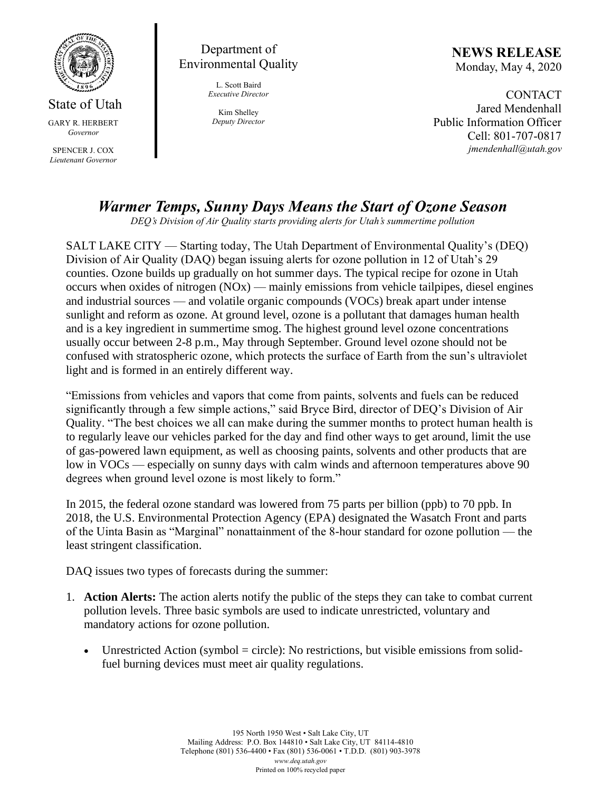

State of Utah GARY R. HERBERT *Governor*

SPENCER J. COX *Lieutenant Governor*

Department of Environmental Quality

> L. Scott Baird *Executive Director*

Kim Shelley *Deputy Director* **NEWS RELEASE** Monday, May 4, 2020

**CONTACT** Jared Mendenhall Public Information Officer Cell: 801-707-0817 *jmendenhall@utah.gov*

## *Warmer Temps, Sunny Days Means the Start of Ozone Season*

*DEQ's Division of Air Quality starts providing alerts for Utah's summertime pollution*

SALT LAKE CITY — Starting today, The Utah Department of Environmental Quality's (DEQ) Division of Air Quality (DAQ) began issuing alerts for ozone pollution in 12 of Utah's 29 counties. Ozone builds up gradually on hot summer days. The typical recipe for ozone in Utah occurs when oxides of nitrogen  $(NOx)$  — mainly emissions from vehicle tailpipes, diesel engines and industrial sources — and volatile organic compounds (VOCs) break apart under intense sunlight and reform as ozone. At ground level, ozone is a pollutant that damages human health and is a key ingredient in summertime smog. The highest ground level ozone concentrations usually occur between 2-8 p.m., May through September. Ground level ozone should not be confused with stratospheric ozone, which protects the surface of Earth from the sun's ultraviolet light and is formed in an entirely different way.

"Emissions from vehicles and vapors that come from paints, solvents and fuels can be reduced significantly through a few simple actions," said Bryce Bird, director of DEQ's Division of Air Quality. "The best choices we all can make during the summer months to protect human health is to regularly leave our vehicles parked for the day and find other ways to get around, limit the use of gas-powered lawn equipment, as well as choosing paints, solvents and other products that are low in VOCs — especially on sunny days with calm winds and afternoon temperatures above 90 degrees when ground level ozone is most likely to form."

In 2015, the federal ozone standard was lowered from 75 parts per billion (ppb) to 70 ppb. In 2018, the U.S. Environmental Protection Agency (EPA) designated the Wasatch Front and parts of the Uinta Basin as "Marginal" nonattainment of the 8-hour standard for ozone pollution — the least stringent classification.

DAQ issues two types of forecasts during the summer:

- 1. **Action Alerts:** The action alerts notify the public of the steps they can take to combat current pollution levels. Three basic symbols are used to indicate unrestricted, voluntary and mandatory actions for ozone pollution.
	- Unrestricted Action (symbol  $=$  circle): No restrictions, but visible emissions from solidfuel burning devices must meet air quality regulations.